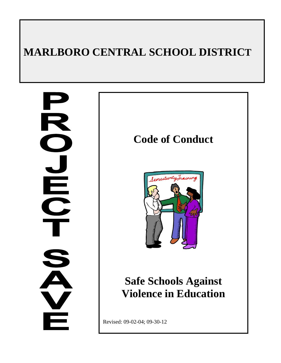# **MARLBORO CENTRAL SCHOOL DISTRICT**

<u>Li</u><br>C  $\checkmark$ 

## **Code of Conduct**



# **Safe Schools Against Violence in Education**

Revised: 09-02-04; 09-30-12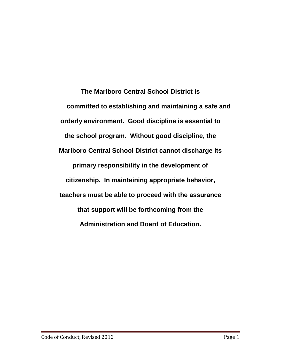**The Marlboro Central School District is committed to establishing and maintaining a safe and orderly environment. Good discipline is essential to the school program. Without good discipline, the Marlboro Central School District cannot discharge its primary responsibility in the development of citizenship. In maintaining appropriate behavior, teachers must be able to proceed with the assurance that support will be forthcoming from the Administration and Board of Education.**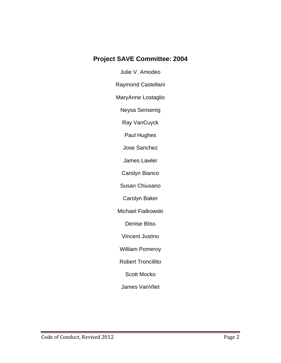### **Project SAVE Committee: 2004**

Julie V. Amodeo

Raymond Castellani

MaryAnne Lostaglio

Neysa Sensenig

Ray VanCuyck

Paul Hughes

Jose Sanchez

James Lawler

Carolyn Bianco

Susan Chiusano

Carolyn Baker

Michael Fialkowski

Denise Bliss

Vincent Justino

William Pomeroy

Robert Troncillito

Scott Mocko

James VanVliet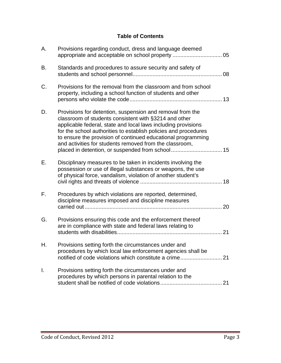### **Table of Contents**

| Α. | Provisions regarding conduct, dress and language deemed                                                                                                                                                                                                                                                                                                                           |
|----|-----------------------------------------------------------------------------------------------------------------------------------------------------------------------------------------------------------------------------------------------------------------------------------------------------------------------------------------------------------------------------------|
| B. | Standards and procedures to assure security and safety of                                                                                                                                                                                                                                                                                                                         |
| C. | Provisions for the removal from the classroom and from school<br>property, including a school function of students and other                                                                                                                                                                                                                                                      |
| D. | Provisions for detention, suspension and removal from the<br>classroom of students consistent with §3214 and other<br>applicable federal, state and local laws including provisions<br>for the school authorities to establish policies and procedures<br>to ensure the provision of continued educational programming<br>and activities for students removed from the classroom, |
| Е. | Disciplinary measures to be taken in incidents involving the<br>possession or use of illegal substances or weapons, the use<br>of physical force, vandalism, violation of another student's                                                                                                                                                                                       |
| F. | Procedures by which violations are reported, determined,<br>discipline measures imposed and discipline measures                                                                                                                                                                                                                                                                   |
| G. | Provisions ensuring this code and the enforcement thereof<br>are in compliance with state and federal laws relating to                                                                                                                                                                                                                                                            |
| Η. | Provisions setting forth the circumstances under and<br>procedures by which local law enforcement agencies shall be<br>notified of code violations which constitute a crime 21                                                                                                                                                                                                    |
| I. | Provisions setting forth the circumstances under and<br>procedures by which persons in parental relation to the                                                                                                                                                                                                                                                                   |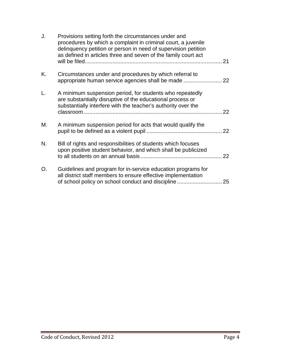| J. | Provisions setting forth the circumstances under and<br>procedures by which a complaint in criminal court, a juvenile<br>delinquency petition or person in need of supervision petition<br>as defined in articles three and seven of the family court act |    |
|----|-----------------------------------------------------------------------------------------------------------------------------------------------------------------------------------------------------------------------------------------------------------|----|
| Κ. | Circumstances under and procedures by which referral to                                                                                                                                                                                                   |    |
| L. | A minimum suspension period, for students who repeatedly<br>are substantially disruptive of the educational process or<br>substantially interfere with the teacher's authority over the                                                                   | 22 |
| М. | A minimum suspension period for acts that would qualify the                                                                                                                                                                                               | 22 |
| N. | Bill of rights and responsibilities of students which focuses<br>upon positive student behavior, and which shall be publicized                                                                                                                            | 22 |
| O. | Guidelines and program for in-service education programs for<br>all district staff members to ensure effective implementation                                                                                                                             |    |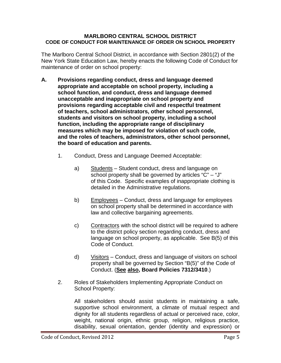#### **MARLBORO CENTRAL SCHOOL DISTRICT CODE OF CONDUCT FOR MAINTENANCE OF ORDER ON SCHOOL PROPERTY**

The Marlboro Central School District, in accordance with Section 2801(2) of the New York State Education Law, hereby enacts the following Code of Conduct for maintenance of order on school property:

- **A. Provisions regarding conduct, dress and language deemed appropriate and acceptable on school property, including a school function, and conduct, dress and language deemed unacceptable and inappropriate on school property and provisions regarding acceptable civil and respectful treatment of teachers, school administrators, other school personnel, students and visitors on school property, including a school function, including the appropriate range of disciplinary measures which may be imposed for violation of such code, and the roles of teachers, administrators, other school personnel, the board of education and parents.**
	- 1. Conduct, Dress and Language Deemed Acceptable:
		- a) Students Student conduct, dress and language on school property shall be governed by articles "C" – "J" of this Code. Specific examples of inappropriate clothing is detailed in the Administrative regulations.
		- b) Employees Conduct, dress and language for employees on school property shall be determined in accordance with law and collective bargaining agreements.
		- c) Contractors with the school district will be required to adhere to the district policy section regarding conduct, dress and language on school property, as applicable. See B(5) of this Code of Conduct.
		- d) Visitors Conduct, dress and language of visitors on school property shall be governed by Section "B(5)" of the Code of Conduct. (**See also, Board Policies 7312/3410**.)
	- 2. Roles of Stakeholders Implementing Appropriate Conduct on School Property:

All stakeholders should assist students in maintaining a safe, supportive school environment, a climate of mutual respect and dignity for all students regardless of actual or perceived race, color, weight, national origin, ethnic group, religion, religious practice, disability, sexual orientation, gender (identity and expression) or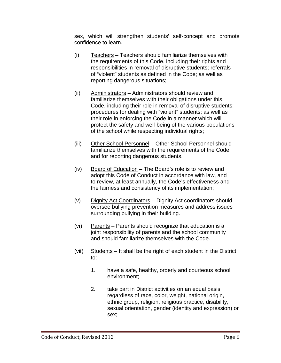sex, which will strengthen students' self-concept and promote confidence to learn.

- (i) Teachers Teachers should familiarize themselves with the requirements of this Code, including their rights and responsibilities in removal of disruptive students; referrals of "violent" students as defined in the Code; as well as reporting dangerous situations;
- (ii) Administrators Administrators should review and familiarize themselves with their obligations under this Code, including their role in removal of disruptive students; procedures for dealing with "violent" students; as well as their role in enforcing the Code in a manner which will protect the safety and well-being of the various populations of the school while respecting individual rights;
- (iii) Other School Personnel Other School Personnel should familiarize themselves with the requirements of the Code and for reporting dangerous students.
- (iv) Board of Education The Board's role is to review and adopt this Code of Conduct in accordance with law, and to review, at least annually, the Code's effectiveness and the fairness and consistency of its implementation;
- (v) Dignity Act Coordinators Dignity Act coordinators should oversee bullying prevention measures and address issues surrounding bullying in their building.
- (v**i**) Parents Parents should recognize that education is a joint responsibility of parents and the school community and should familiarize themselves with the Code.
- (vi**i**) Students It shall be the right of each student in the District to:
	- 1. have a safe, healthy, orderly and courteous school environment;
	- 2. take part in District activities on an equal basis regardless of race, color, weight, national origin, ethnic group, religion, religious practice, disability, sexual orientation, gender (identity and expression) or sex;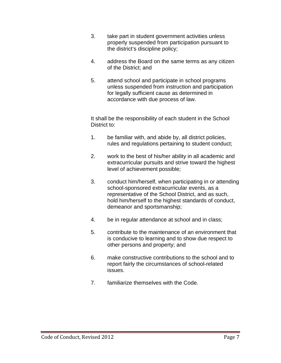- 3. take part in student government activities unless properly suspended from participation pursuant to the district's discipline policy;
- 4. address the Board on the same terms as any citizen of the District; and
- 5. attend school and participate in school programs unless suspended from instruction and participation for legally sufficient cause as determined in accordance with due process of law.

It shall be the responsibility of each student in the School District to:

- 1. be familiar with, and abide by, all district policies, rules and regulations pertaining to student conduct;
- 2. work to the best of his/her ability in all academic and extracurricular pursuits and strive toward the highest level of achievement possible;
- 3. conduct him/herself, when participating in or attending school-sponsored extracurricular events, as a representative of the School District, and as such, hold him/herself to the highest standards of conduct, demeanor and sportsmanship;
- 4. be in regular attendance at school and in class;
- 5. contribute to the maintenance of an environment that is conducive to learning and to show due respect to other persons and property; and
- 6. make constructive contributions to the school and to report fairly the circumstances of school-related issues.
- 7. familiarize themselves with the Code.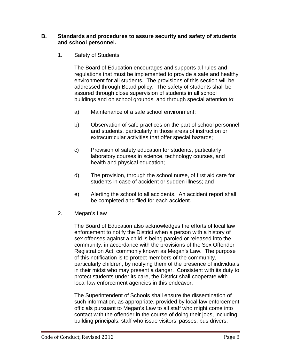#### **B. Standards and procedures to assure security and safety of students and school personnel.**

1. Safety of Students

The Board of Education encourages and supports all rules and regulations that must be implemented to provide a safe and healthy environment for all students. The provisions of this section will be addressed through Board policy. The safety of students shall be assured through close supervision of students in all school buildings and on school grounds, and through special attention to:

- a) Maintenance of a safe school environment;
- b) Observation of safe practices on the part of school personnel and students, particularly in those areas of instruction or extracurricular activities that offer special hazards;
- c) Provision of safety education for students, particularly laboratory courses in science, technology courses, and health and physical education;
- d) The provision, through the school nurse, of first aid care for students in case of accident or sudden illness; and
- e) Alerting the school to all accidents. An accident report shall be completed and filed for each accident.
- 2. Megan's Law

The Board of Education also acknowledges the efforts of local law enforcement to notify the District when a person with a history of sex offenses against a child is being paroled or released into the community, in accordance with the provisions of the Sex Offender Registration Act, commonly known as Megan's Law. The purpose of this notification is to protect members of the community, particularly children, by notifying them of the presence of individuals in their midst who may present a danger. Consistent with its duty to protect students under its care, the District shall cooperate with local law enforcement agencies in this endeavor.

The Superintendent of Schools shall ensure the dissemination of such information, as appropriate, provided by local law enforcement officials pursuant to Megan's Law to all staff who might come into contact with the offender in the course of doing their jobs, including building principals, staff who issue visitors' passes, bus drivers,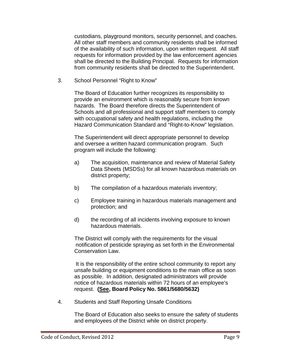custodians, playground monitors, security personnel, and coaches. All other staff members and community residents shall be informed of the availability of such information, upon written request. All staff requests for information provided by the law enforcement agencies shall be directed to the Building Principal. Requests for information from community residents shall be directed to the Superintendent.

3. School Personnel "Right to Know"

The Board of Education further recognizes its responsibility to provide an environment which is reasonably secure from known hazards. The Board therefore directs the Superintendent of Schools and all professional and support staff members to comply with occupational safety and health regulations, including the Hazard Communication Standard and "Right-to-Know" legislation.

The Superintendent will direct appropriate personnel to develop and oversee a written hazard communication program. Such program will include the following:

- a) The acquisition, maintenance and review of Material Safety Data Sheets (MSDSs) for all known hazardous materials on district property;
- b) The compilation of a hazardous materials inventory;
- c) Employee training in hazardous materials management and protection; and
- d) the recording of all incidents involving exposure to known hazardous materials.

The District will comply with the requirements for the visual notification of pesticide spraying as set forth in the Environmental Conservation Law.

It is the responsibility of the entire school community to report any unsafe building or equipment conditions to the main office as soon as possible. In addition, designated administrators will provide notice of hazardous materials within 72 hours of an employee's request. **(See, Board Policy No. 5861/5680/5632)**

4. Students and Staff Reporting Unsafe Conditions

The Board of Education also seeks to ensure the safety of students and employees of the District while on district property.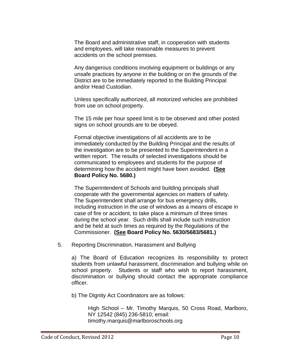The Board and administrative staff, in cooperation with students and employees, will take reasonable measures to prevent accidents on the school premises.

Any dangerous conditions involving equipment or buildings or any unsafe practices by anyone in the building or on the grounds of the District are to be immediately reported to the Building Principal and/or Head Custodian.

Unless specifically authorized, all motorized vehicles are prohibited from use on school property.

The 15 mile per hour speed limit is to be observed and other posted signs on school grounds are to be obeyed.

Formal objective investigations of all accidents are to be immediately conducted by the Building Principal and the results of the investigation are to be presented to the Superintendent in a written report. The results of selected investigations should be communicated to employees and students for the purpose of determining how the accident might have been avoided. **(See Board Policy No. 5680.)**

The Superintendent of Schools and building principals shall cooperate with the governmental agencies on matters of safety. The Superintendent shall arrange for bus emergency drills, including instruction in the use of windows as a means of escape in case of fire or accident, to take place a minimum of three times during the school year. Such drills shall include such instruction and be held at such times as required by the Regulations of the Commissioner. **(See Board Policy No. 5630/5683/5681.)**

5. Reporting Discrimination, Harassment and Bullying

a) The Board of Education recognizes its responsibility to protect students from unlawful harassment, discrimination and bullying while on school property. Students or staff who wish to report harassment, discrimination or bullying should contact the appropriate compliance officer.

b) The Dignity Act Coordinators are as follows:

High School – Mr. Timothy Marquis, 50 Cross Road, Marlboro, NY 12542 (845) 236-5810; email: timothy.marquis@marlboroschools.org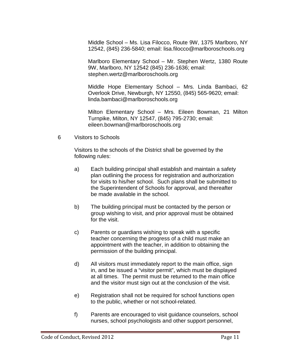Middle School – Ms. Lisa Filocco, Route 9W, 1375 Marlboro, NY 12542, (845) 236-5840; email: lisa.filocco@marlboroschools.org

Marlboro Elementary School – Mr. Stephen Wertz, 1380 Route 9W, Marlboro, NY 12542 (845) 236-1636; email: stephen.wertz@marlboroschools.org

Middle Hope Elementary School – Mrs. Linda Bambaci, 62 Overlook Drive, Newburgh, NY 12550, (845) 565-9620; email: linda.bambaci@marlboroschools.org

Milton Elementary School – Mrs. Eileen Bowman, 21 Milton Turnpike, Milton, NY 12547, (845) 795-2730; email: eileen.bowman@marlboroschools.org

6 Visitors to Schools

Visitors to the schools of the District shall be governed by the following rules:

- a) Each building principal shall establish and maintain a safety plan outlining the process for registration and authorization for visits to his/her school. Such plans shall be submitted to the Superintendent of Schools for approval, and thereafter be made available in the school.
- b) The building principal must be contacted by the person or group wishing to visit, and prior approval must be obtained for the visit.
- c) Parents or guardians wishing to speak with a specific teacher concerning the progress of a child must make an appointment with the teacher, in addition to obtaining the permission of the building principal.
- d) All visitors must immediately report to the main office, sign in, and be issued a "visitor permit", which must be displayed at all times. The permit must be returned to the main office and the visitor must sign out at the conclusion of the visit.
- e) Registration shall not be required for school functions open to the public, whether or not school-related.
- f) Parents are encouraged to visit guidance counselors, school nurses, school psychologists and other support personnel,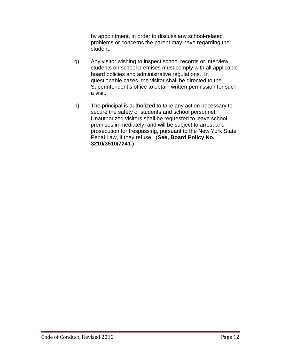by appointment, in order to discuss any school-related problems or concerns the parent may have regarding the student.

- g) Any visitor wishing to inspect school records or interview students on school premises must comply with all applicable board policies and administrative regulations. In questionable cases, the visitor shall be directed to the Superintendent's office to obtain written permission for such a visit.
- h) The principal is authorized to take any action necessary to secure the safety of students and school personnel. Unauthorized visitors shall be requested to leave school premises immediately, and will be subject to arrest and prosecution for trespassing, pursuant to the New York State Penal Law, if they refuse. (**See, Board Policy No. 3210/3510/7241**.)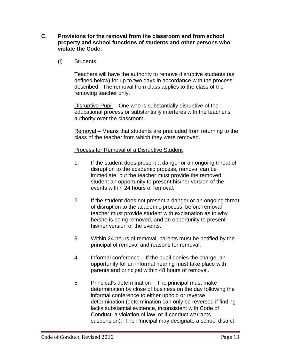- **C. Provisions for the removal from the classroom and from school property and school functions of students and other persons who violate the Code.**
	- (i) Students

Teachers will have the authority to remove disruptive students (as defined below) for up to two days in accordance with the process described. The removal from class applies to the class of the removing teacher only.

Disruptive Pupil – One who is substantially disruptive of the educational process or substantially interferes with the teacher's authority over the classroom.

Removal – Means that students are precluded from returning to the class of the teacher from which they were removed.

#### Process for Removal of a Disruptive Student

- 1. If the student does present a danger or an ongoing threat of disruption to the academic process, removal can be immediate, but the teacher must provide the removed student an opportunity to present his/her version of the events within 24 hours of removal.
- 2. If the student does not present a danger or an ongoing threat of disruption to the academic process, before removal teacher must provide student with explanation as to why he/she is being removed, and an opportunity to present his/her version of the events.
- 3. Within 24 hours of removal, parents must be notified by the principal of removal and reasons for removal.
- 4. Informal conference If the pupil denies the charge, an opportunity for an informal hearing must take place with parents and principal within 48 hours of removal.
- 5. Principal's determination The principal must make determination by close of business on the day following the informal conference to either uphold or reverse determination (determination can only be reversed if finding lacks substantial evidence, inconsistent with Code of Conduct, a violation of law, or if conduct warrants suspension). The Principal may designate a school district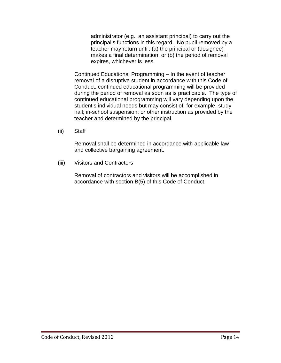administrator (e.g., an assistant principal) to carry out the principal's functions in this regard. No pupil removed by a teacher may return until: (a) the principal or (designee) makes a final determination, or (b) the period of removal expires, whichever is less.

Continued Educational Programming – In the event of teacher removal of a disruptive student in accordance with this Code of Conduct, continued educational programming will be provided during the period of removal as soon as is practicable. The type of continued educational programming will vary depending upon the student's individual needs but may consist of, for example, study hall; in-school suspension; or other instruction as provided by the teacher and determined by the principal.

(ii) Staff

Removal shall be determined in accordance with applicable law and collective bargaining agreement.

(iii) Visitors and Contractors

Removal of contractors and visitors will be accomplished in accordance with section B(5) of this Code of Conduct.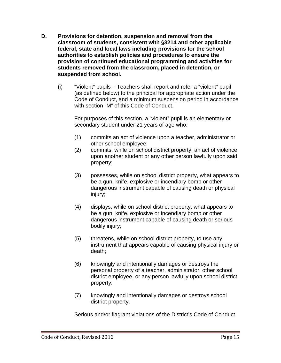- **D. Provisions for detention, suspension and removal from the classroom of students, consistent with §3214 and other applicable federal, state and local laws including provisions for the school authorities to establish policies and procedures to ensure the provision of continued educational programming and activities for students removed from the classroom, placed in detention, or suspended from school.**
	- (i) "Violent" pupils Teachers shall report and refer a "violent" pupil (as defined below) to the principal for appropriate action under the Code of Conduct, and a minimum suspension period in accordance with section "M" of this Code of Conduct.

For purposes of this section, a "violent" pupil is an elementary or secondary student under 21 years of age who:

- (1) commits an act of violence upon a teacher, administrator or other school employee;
- (2) commits, while on school district property, an act of violence upon another student or any other person lawfully upon said property;
- (3) possesses, while on school district property, what appears to be a gun, knife, explosive or incendiary bomb or other dangerous instrument capable of causing death or physical injury;
- (4) displays, while on school district property, what appears to be a gun, knife, explosive or incendiary bomb or other dangerous instrument capable of causing death or serious bodily injury;
- (5) threatens, while on school district property, to use any instrument that appears capable of causing physical injury or death;
- (6) knowingly and intentionally damages or destroys the personal property of a teacher, administrator, other school district employee, or any person lawfully upon school district property;
- (7) knowingly and intentionally damages or destroys school district property.

Serious and/or flagrant violations of the District's Code of Conduct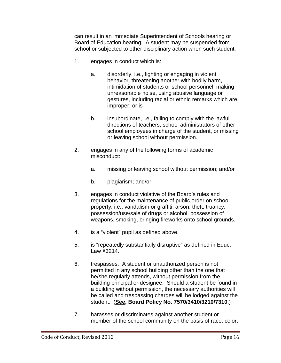can result in an immediate Superintendent of Schools hearing or Board of Education hearing. A student may be suspended from school or subjected to other disciplinary action when such student:

- 1. engages in conduct which is:
	- a. disorderly, i.e., fighting or engaging in violent behavior, threatening another with bodily harm, intimidation of students or school personnel, making unreasonable noise, using abusive language or gestures, including racial or ethnic remarks which are improper; or is
	- b. insubordinate, i.e., failing to comply with the lawful directions of teachers, school administrators of other school employees in charge of the student, or missing or leaving school without permission.
- 2. engages in any of the following forms of academic misconduct:
	- a. missing or leaving school without permission; and/or
	- b. plagiarism; and/or
- 3. engages in conduct violative of the Board's rules and regulations for the maintenance of public order on school property, i.e., vandalism or graffiti, arson, theft, truancy, possession/use/sale of drugs or alcohol, possession of weapons, smoking, bringing fireworks onto school grounds.
- 4. is a "violent" pupil as defined above.
- 5. is "repeatedly substantially disruptive" as defined in Educ. Law §3214.
- 6. trespasses. A student or unauthorized person is not permitted in any school building other than the one that he/she regularly attends, without permission from the building principal or designee. Should a student be found in a building without permission, the necessary authorities will be called and trespassing charges will be lodged against the student. (**See, Board Policy No. 7570/3410/3210/7310**.)
- 7. harasses or discriminates against another student or member of the school community on the basis of race, color,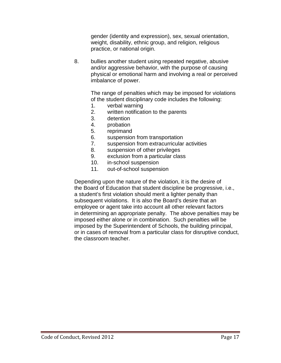gender (identity and expression), sex, sexual orientation, weight, disability, ethnic group, and religion, religious practice, or national origin.

8. bullies another student using repeated negative, abusive and/or aggressive behavior, with the purpose of causing physical or emotional harm and involving a real or perceived imbalance of power.

> The range of penalties which may be imposed for violations of the student disciplinary code includes the following:

- 1. verbal warning
- 2. written notification to the parents
- 3. detention
- 4. probation
- 5. reprimand
- 6. suspension from transportation
- 7. suspension from extracurricular activities
- 8. suspension of other privileges
- 9. exclusion from a particular class
- 10. in-school suspension
- 11. out-of-school suspension

Depending upon the nature of the violation, it is the desire of the Board of Education that student discipline be progressive, i.e., a student's first violation should merit a lighter penalty than subsequent violations. It is also the Board's desire that an employee or agent take into account all other relevant factors in determining an appropriate penalty. The above penalties may be imposed either alone or in combination. Such penalties will be imposed by the Superintendent of Schools, the building principal, or in cases of removal from a particular class for disruptive conduct, the classroom teacher.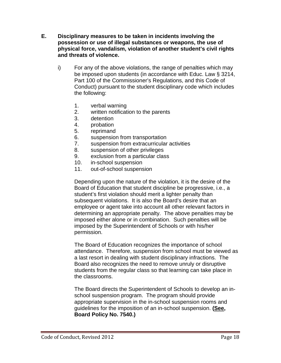- **E. Disciplinary measures to be taken in incidents involving the possession or use of illegal substances or weapons, the use of physical force, vandalism, violation of another student's civil rights and threats of violence.**
	- i) For any of the above violations, the range of penalties which may be imposed upon students (in accordance with Educ. Law § 3214, Part 100 of the Commissioner's Regulations, and this Code of Conduct) pursuant to the student disciplinary code which includes the following:
		- 1. verbal warning
		- 2. written notification to the parents
		- 3. detention
		- 4. probation
		- 5. reprimand
		- 6. suspension from transportation
		- 7. suspension from extracurricular activities
		- 8. suspension of other privileges
		- 9. exclusion from a particular class
		- 10. in-school suspension
		- 11. out-of-school suspension

Depending upon the nature of the violation, it is the desire of the Board of Education that student discipline be progressive, i.e., a student's first violation should merit a lighter penalty than subsequent violations. It is also the Board's desire that an employee or agent take into account all other relevant factors in determining an appropriate penalty. The above penalties may be imposed either alone or in combination. Such penalties will be imposed by the Superintendent of Schools or with his/her permission.

The Board of Education recognizes the importance of school attendance. Therefore, suspension from school must be viewed as a last resort in dealing with student disciplinary infractions. The Board also recognizes the need to remove unruly or disruptive students from the regular class so that learning can take place in the classrooms.

The Board directs the Superintendent of Schools to develop an inschool suspension program. The program should provide appropriate supervision in the in-school suspension rooms and guidelines for the imposition of an in-school suspension. **(See, Board Policy No. 7540.)**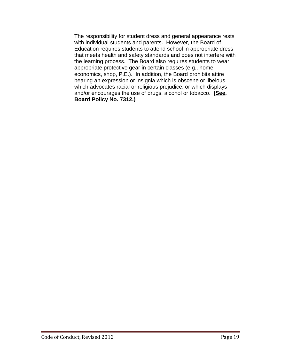The responsibility for student dress and general appearance rests with individual students and parents. However, the Board of Education requires students to attend school in appropriate dress that meets health and safety standards and does not interfere with the learning process. The Board also requires students to wear appropriate protective gear in certain classes (e.g., home economics, shop, P.E.). In addition, the Board prohibits attire bearing an expression or insignia which is obscene or libelous, which advocates racial or religious prejudice, or which displays and/or encourages the use of drugs, alcohol or tobacco. **(See, Board Policy No. 7312.)**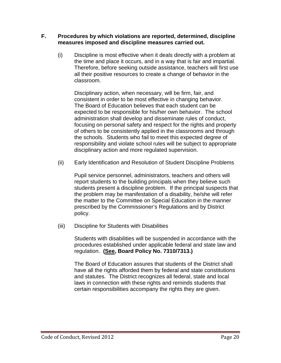#### **F. Procedures by which violations are reported, determined, discipline measures imposed and discipline measures carried out.**

(i) Discipline is most effective when it deals directly with a problem at the time and place it occurs, and in a way that is fair and impartial. Therefore, before seeking outside assistance, teachers will first use all their positive resources to create a change of behavior in the classroom.

Disciplinary action, when necessary, will be firm, fair, and consistent in order to be most effective in changing behavior. The Board of Education believes that each student can be expected to be responsible for his/her own behavior. The school administration shall develop and disseminate rules of conduct, focusing on personal safety and respect for the rights and property of others to be consistently applied in the classrooms and through the schools. Students who fail to meet this expected degree of responsibility and violate school rules will be subject to appropriate disciplinary action and more regulated supervision.

(ii) Early Identification and Resolution of Student Discipline Problems

Pupil service personnel, administrators, teachers and others will report students to the building principals when they believe such students present a discipline problem. If the principal suspects that the problem may be manifestation of a disability, he/she will refer the matter to the Committee on Special Education in the manner prescribed by the Commissioner's Regulations and by District policy.

(iii) Discipline for Students with Disabilities

Students with disabilities will be suspended in accordance with the procedures established under applicable federal and state law and regulation. **(See, Board Policy No. 7310/7313.)**

The Board of Education assures that students of the District shall have all the rights afforded them by federal and state constitutions and statutes. The District recognizes all federal, state and local laws in connection with these rights and reminds students that certain responsibilities accompany the rights they are given.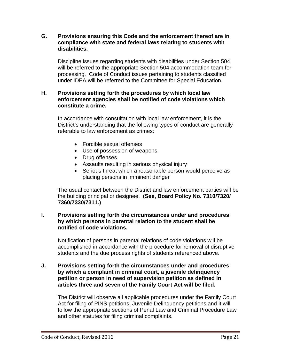**G. Provisions ensuring this Code and the enforcement thereof are in compliance with state and federal laws relating to students with disabilities.**

Discipline issues regarding students with disabilities under Section 504 will be referred to the appropriate Section 504 accommodation team for processing. Code of Conduct issues pertaining to students classified under IDEA will be referred to the Committee for Special Education.

#### **H. Provisions setting forth the procedures by which local law enforcement agencies shall be notified of code violations which constitute a crime.**

In accordance with consultation with local law enforcement, it is the District's understanding that the following types of conduct are generally referable to law enforcement as crimes:

- Forcible sexual offenses
- Use of possession of weapons
- Drug offenses
- Assaults resulting in serious physical injury
- Serious threat which a reasonable person would perceive as placing persons in imminent danger

The usual contact between the District and law enforcement parties will be the building principal or designee. **(See, Board Policy No. 7310/7320/ 7360/7330/7311.)**

#### **I. Provisions setting forth the circumstances under and procedures by which persons in parental relation to the student shall be notified of code violations.**

Notification of persons in parental relations of code violations will be accomplished in accordance with the procedure for removal of disruptive students and the due process rights of students referenced above.

#### **J. Provisions setting forth the circumstances under and procedures by which a complaint in criminal court, a juvenile delinquency petition or person in need of supervision petition as defined in articles three and seven of the Family Court Act will be filed.**

The District will observe all applicable procedures under the Family Court Act for filing of PINS petitions, Juvenile Delinquency petitions and it will follow the appropriate sections of Penal Law and Criminal Procedure Law and other statutes for filing criminal complaints.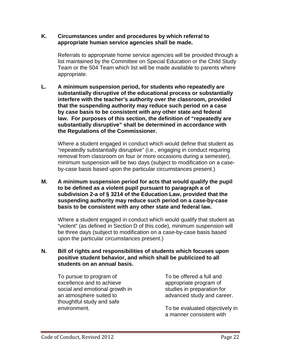#### **K. Circumstances under and procedures by which referral to appropriate human service agencies shall be made.**

Referrals to appropriate home service agencies will be provided through a list maintained by the Committee on Special Education or the Child Study Team or the 504 Team which list will be made available to parents where appropriate.

**L. A minimum suspension period, for students who repeatedly are substantially disruptive of the educational process or substantially interfere with the teacher's authority over the classroom, provided that the suspending authority may reduce such period on a case by case basis to be consistent with any other state and federal law. For purposes of this section, the definition of "repeatedly are substantially disruptive" shall be determined in accordance with the Regulations of the Commissioner.**

Where a student engaged in conduct which would define that student as "repeatedly substantially disruptive" (i.e., engaging in conduct requiring removal from classroom on four or more occasions during a semester), minimum suspension will be two days (subject to modification on a caseby-case basis based upon the particular circumstances present.)

**M. A minimum suspension period for acts that would qualify the pupil to be defined as a violent pupil pursuant to paragraph a of subdivision 2-a of § 3214 of the Education Law, provided that the suspending authority may reduce such period on a case-by-case basis to be consistent with any other state and federal law.**

Where a student engaged in conduct which would qualify that student as "violent" (as defined in Section D of this code), minimum suspension will be three days (subject to modification on a case-by-case basis based upon the particular circumstances present.)

#### **N. Bill of rights and responsibilities of students which focuses upon positive student behavior, and which shall be publicized to all students on an annual basis.**

To pursue to program of excellence and to achieve social and emotional growth in an atmosphere suited to thoughtful study and safe environment.

To be offered a full and appropriate program of studies in preparation for advanced study and career.

To be evaluated objectively in a manner consistent with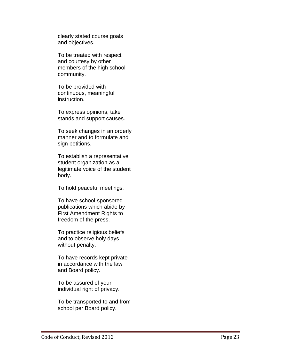clearly stated course goals and objectives.

To be treated with respect and courtesy by other members of the high school community.

To be provided with continuous, meaningful instruction.

To express opinions, take stands and support causes.

To seek changes in an orderly manner and to formulate and sign petitions.

To establish a representative student organization as a legitimate voice of the student body.

To hold peaceful meetings.

To have school -sponsored publications which abide by First Amendment Rights to freedom of the press.

To practice religious beliefs and to observe holy days without penalty.

To have records kept private in accordance with the law and Board policy.

To be assured of your individual right of privacy.

To be transported to and from school per Board policy.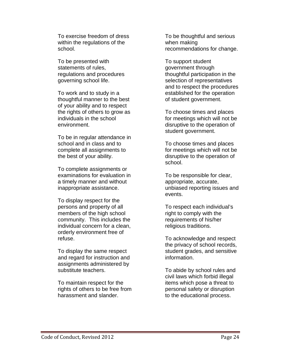To exercise freedom of dress within the regulations of the school.

To be presented with statements of rules, regulations and procedures governing school life.

To work and to study in a thoughtful manner to the best of your ability and to respect the rights of others to grow as individuals in the school environment.

To be in regular attendance in school and in class and to complete all assignments to the best of your ability.

To complete assignments or examinations for evaluation in a timely manner and without inappropriate assistance.

To display respect for the persons and property of all members of the high school community. This includes the individual concern for a clean, orderly environment free of refuse.

To display the same respect and regard for instruction and assignments administered by substitute teachers.

To maintain respect for the rights of others to be free from harassment and slander.

To be thoughtful and serious when making recommendations for change.

To support student government through thoughtful participation in the selection of representatives and to respect the procedures established for the operation of student government.

To choose times and places for meetings which will not be disruptive to the operation of student government.

To choose times and places for meetings which will not be disruptive to the operation of school.

To be responsible for clear, appropriate, accurate, unbiased reporting issues and events.

To respect each individual's right to comply with the requirements of his/her religious traditions.

To acknowledge and respect the privacy of school records, student grades, and sensitive information.

To abide by school rules and civil laws which forbid illegal items which pose a threat to personal safety or disruption to the educational process.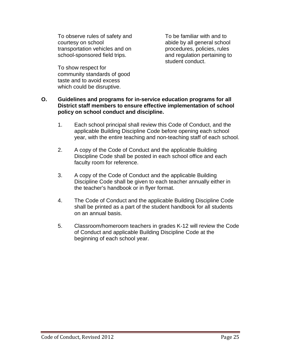To observe rules of safety and courtesy on school transportation vehicles and on school-sponsored field trips.

To show respect for community standards of good taste and to avoid excess which could be disruptive.

To be familiar with and to abide by all general school procedures, policies, rules and regulation pertaining to student conduct.

#### **O. Guidelines and programs for in-service education programs for all District staff members to ensure effective implementation of school policy on school conduct and discipline.**

- 1. Each school principal shall review this Code of Conduct, and the applicable Building Discipline Code before opening each school year, with the entire teaching and non-teaching staff of each school.
- 2. A copy of the Code of Conduct and the applicable Building Discipline Code shall be posted in each school office and each faculty room for reference.
- 3. A copy of the Code of Conduct and the applicable Building Discipline Code shall be given to each teacher annually either in the teacher's handbook or in flyer format.
- 4. The Code of Conduct and the applicable Building Discipline Code shall be printed as a part of the student handbook for all students on an annual basis.
- 5. Classroom/homeroom teachers in grades K-12 will review the Code of Conduct and applicable Building Discipline Code at the beginning of each school year.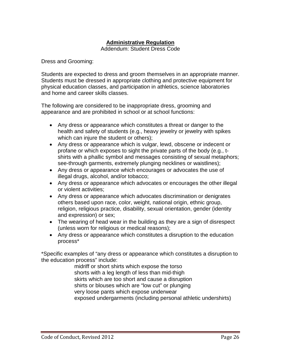### **Administrative Regulation**

Addendum: Student Dress Code

Dress and Grooming:

Students are expected to dress and groom themselves in an appropriate manner. Students must be dressed in appropriate clothing and protective equipment for physical education classes, and participation in athletics, science laboratories and home and career skills classes.

The following are considered to be inappropriate dress, grooming and appearance and are prohibited in school or at school functions:

- Any dress or appearance which constitutes a threat or danger to the health and safety of students (e.g., heavy jewelry or jewelry with spikes which can injure the student or others);
- Any dress or appearance which is vulgar, lewd, obscene or indecent or profane or which exposes to sight the private parts of the body (e.g., tshirts with a phallic symbol and messages consisting of sexual metaphors; see-through garments, extremely plunging necklines or waistlines);
- Any dress or appearance which encourages or advocates the use of illegal drugs, alcohol, and/or tobacco;
- Any dress or appearance which advocates or encourages the other illegal or violent activities;
- Any dress or appearance which advocates discrimination or denigrates others based upon race, color, weight, national origin, ethnic group, religion, religious practice, disability, sexual orientation, gender (identity and expression) or sex;
- The wearing of head wear in the building as they are a sign of disrespect (unless worn for religious or medical reasons);
- Any dress or appearance which constitutes a disruption to the education process\*

\*Specific examples of "any dress or appearance which constitutes a disruption to the education process" include:

> midriff or short shirts which expose the torso shorts with a leg length of less than mid-thigh skirts which are too short and cause a disruption shirts or blouses which are "low cut" or plunging very loose pants which expose underwear exposed undergarments (including personal athletic undershirts)